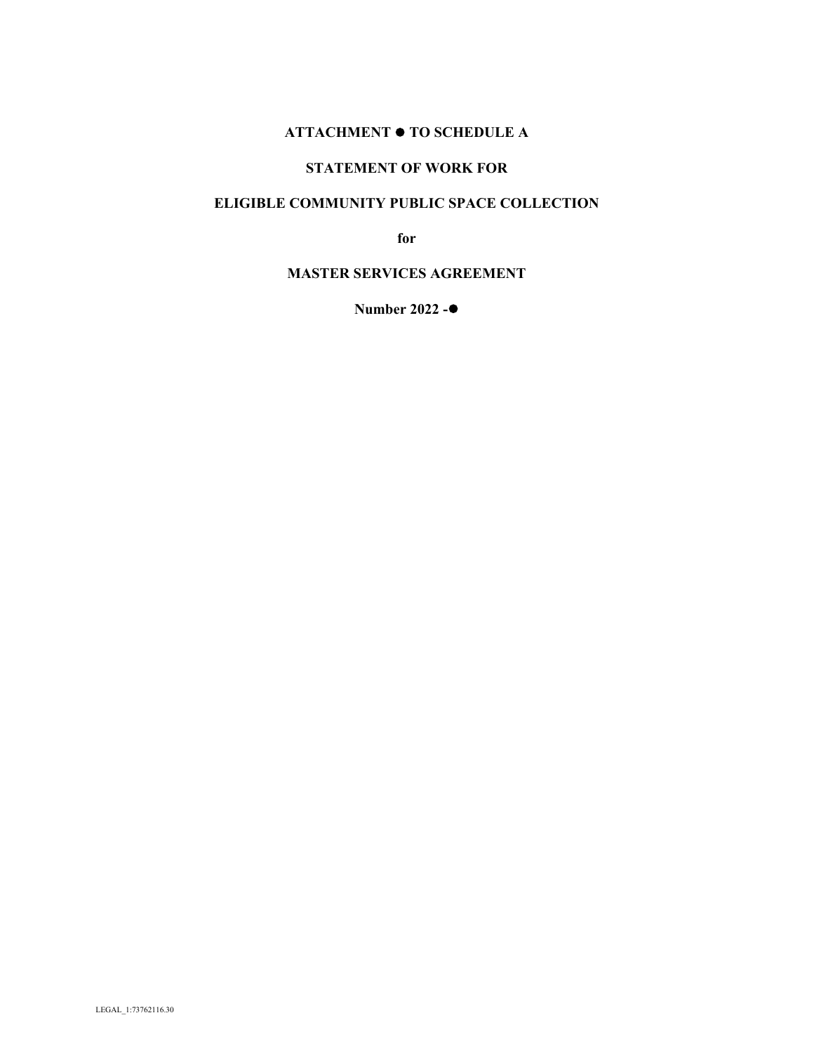# **ATTACHMENT**  $\bullet$  **TO SCHEDULE A**

### **STATEMENT OF WORK FOR**

### **ELIGIBLE COMMUNITY PUBLIC SPACE COLLECTION**

**for**

# **MASTER SERVICES AGREEMENT**

**Number 2022 -**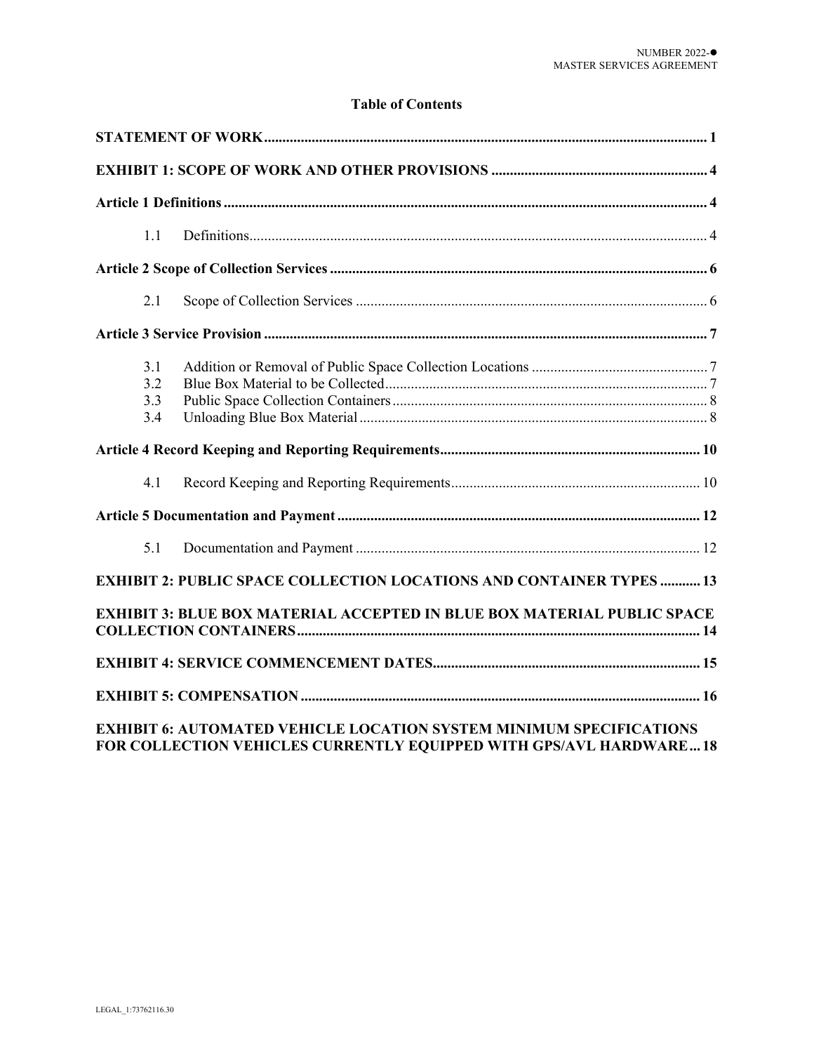# **Table of Contents**

|  | 1.1                      |                                                                                |  |  |  |
|--|--------------------------|--------------------------------------------------------------------------------|--|--|--|
|  |                          |                                                                                |  |  |  |
|  | 2.1                      |                                                                                |  |  |  |
|  |                          |                                                                                |  |  |  |
|  | 3.1<br>3.2<br>3.3<br>3.4 |                                                                                |  |  |  |
|  |                          |                                                                                |  |  |  |
|  | 4.1                      |                                                                                |  |  |  |
|  |                          |                                                                                |  |  |  |
|  | 5.1                      |                                                                                |  |  |  |
|  |                          | <b>EXHIBIT 2: PUBLIC SPACE COLLECTION LOCATIONS AND CONTAINER TYPES  13</b>    |  |  |  |
|  |                          | <b>EXHIBIT 3: BLUE BOX MATERIAL ACCEPTED IN BLUE BOX MATERIAL PUBLIC SPACE</b> |  |  |  |
|  |                          |                                                                                |  |  |  |
|  |                          |                                                                                |  |  |  |
|  |                          | <b>EXHIBIT 6: AUTOMATED VEHICLE LOCATION SYSTEM MINIMUM SPECIFICATIONS</b>     |  |  |  |

**[FOR COLLECTION VEHICLES CURRENTLY EQUIPPED WITH GPS/AVL HARDWARE...](#page-19-0) 18**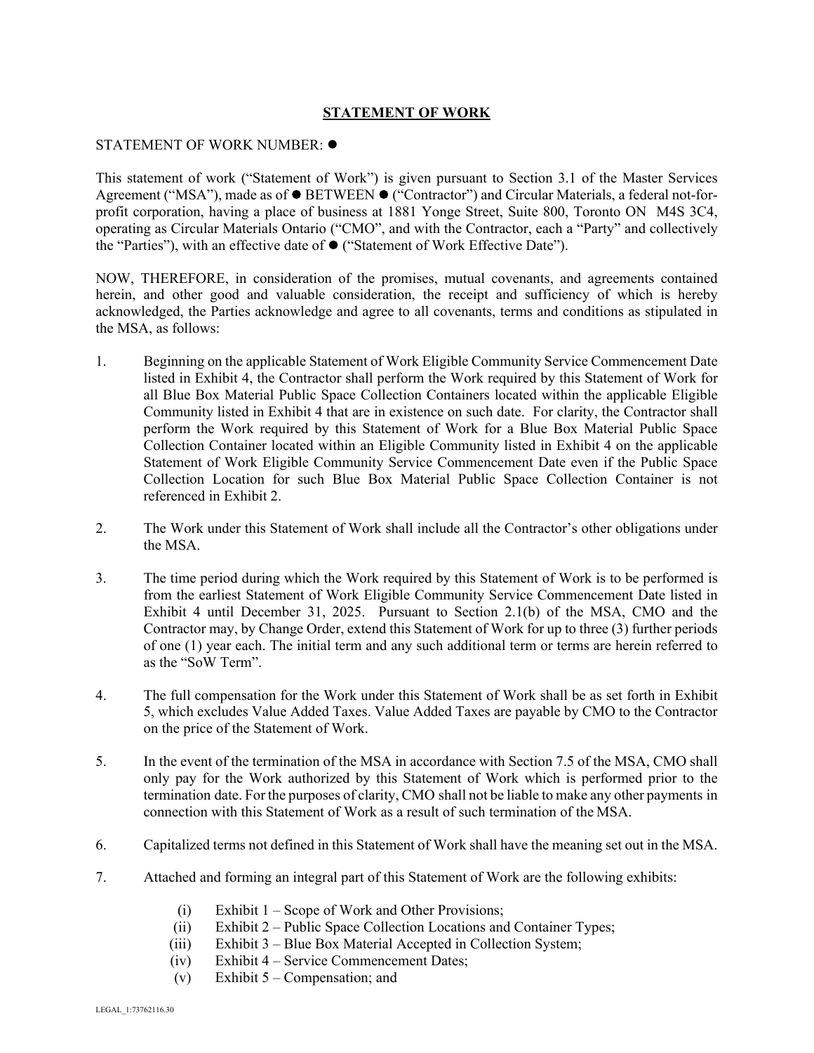### **STATEMENT OF WORK**

#### <span id="page-2-0"></span>STATEMENT OF WORK NUMBER:  $\bullet$

This statement of work ("Statement of Work") is given pursuant to Section 3.1 of the Master Services Agreement ("MSA"), made as of  $\bullet$  BETWEEN  $\bullet$  ("Contractor") and Circular Materials, a federal not-forprofit corporation, having a place of business at 1881 Yonge Street, Suite 800, Toronto ON M4S 3C4, operating as Circular Materials Ontario ("CMO", and with the Contractor, each a "Party" and collectively the "Parties"), with an effective date of ("Statement of Work Effective Date").

NOW, THEREFORE, in consideration of the promises, mutual covenants, and agreements contained herein, and other good and valuable consideration, the receipt and sufficiency of which is hereby acknowledged, the Parties acknowledge and agree to all covenants, terms and conditions as stipulated in the MSA, as follows:

- 1. Beginning on the applicable Statement of Work Eligible Community Service Commencement Date listed in Exhibit 4, the Contractor shall perform the Work required by this Statement of Work for all Blue Box Material Public Space Collection Containers located within the applicable Eligible Community listed in Exhibit 4 that are in existence on such date. For clarity, the Contractor shall perform the Work required by this Statement of Work for a Blue Box Material Public Space Collection Container located within an Eligible Community listed in Exhibit 4 on the applicable Statement of Work Eligible Community Service Commencement Date even if the Public Space Collection Location for such Blue Box Material Public Space Collection Container is not referenced in Exhibit 2.
- 2. The Work under this Statement of Work shall include all the Contractor's other obligations under the MSA.
- 3. The time period during which the Work required by this Statement of Work is to be performed is from the earliest Statement of Work Eligible Community Service Commencement Date listed in Exhibit 4 until December 31, 2025. Pursuant to Section 2.1(b) of the MSA, CMO and the Contractor may, by Change Order, extend this Statement of Work for up to three (3) further periods of one (1) year each. The initial term and any such additional term or terms are herein referred to as the "SoW Term".
- 4. The full compensation for the Work under this Statement of Work shall be as set forth in Exhibit 5, which excludes Value Added Taxes. Value Added Taxes are payable by CMO to the Contractor on the price of the Statement of Work.
- 5. In the event of the termination of the MSA in accordance with Section 7.5 of the MSA, CMO shall only pay for the Work authorized by this Statement of Work which is performed prior to the termination date. For the purposes of clarity, CMO shall not be liable to make any other payments in connection with this Statement of Work as a result of such termination of the MSA.
- 6. Capitalized terms not defined in this Statement of Work shall have the meaning set out in the MSA.
- 7. Attached and forming an integral part of this Statement of Work are the following exhibits:
	- (i) Exhibit 1 Scope of Work and Other Provisions;
	- (ii) Exhibit 2 Public Space Collection Locations and Container Types;
	- (iii) Exhibit 3 Blue Box Material Accepted in Collection System;
	- (iv) Exhibit 4 Service Commencement Dates;
	- (v) Exhibit 5 Compensation; and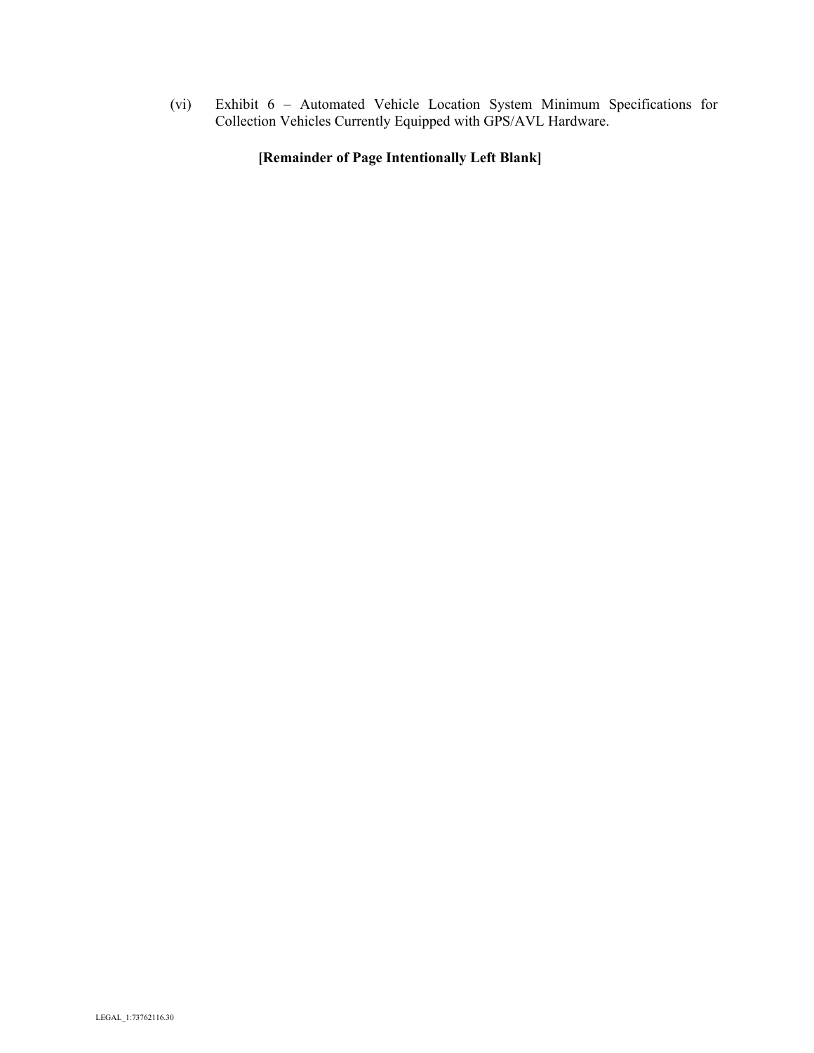(vi) Exhibit 6 – Automated Vehicle Location System Minimum Specifications for Collection Vehicles Currently Equipped with GPS/AVL Hardware.

# **[Remainder of Page Intentionally Left Blank]**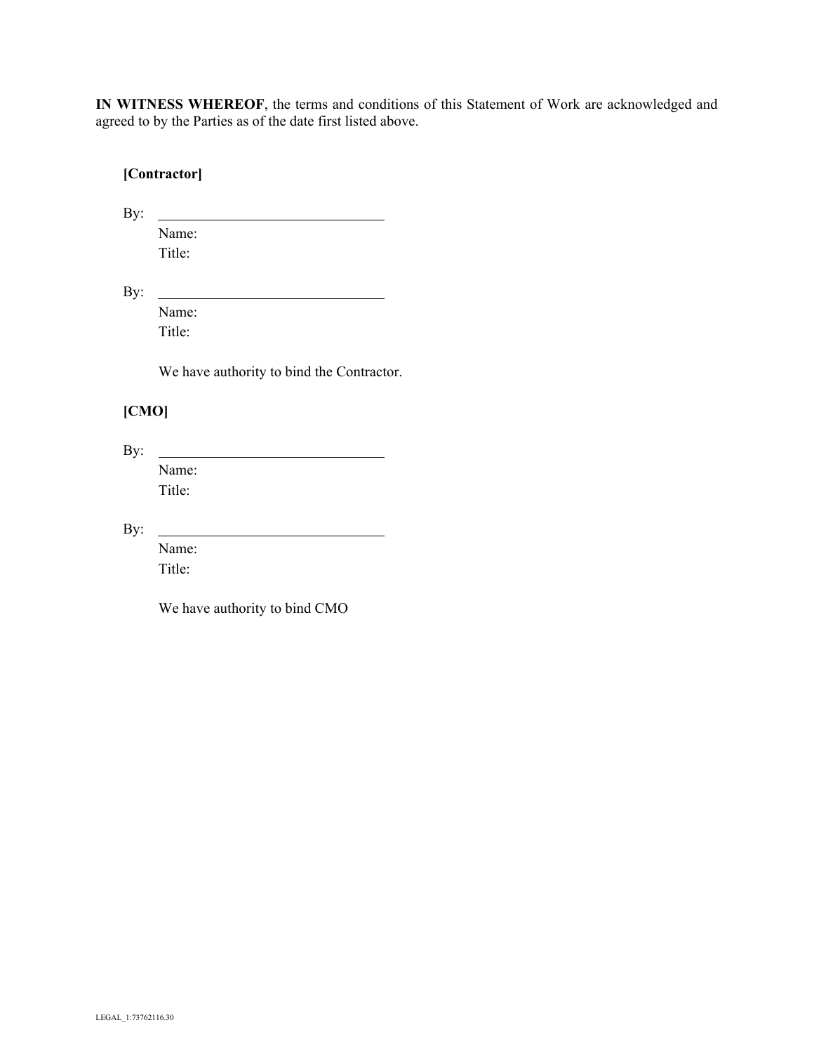**IN WITNESS WHEREOF**, the terms and conditions of this Statement of Work are acknowledged and agreed to by the Parties as of the date first listed above.

**[Contractor]**

By:

Name: Title:

By:

Name: Title:

We have authority to bind the Contractor.

# **[CMO]**

By:

Name: Title:

By:

Name: Title:

We have authority to bind CMO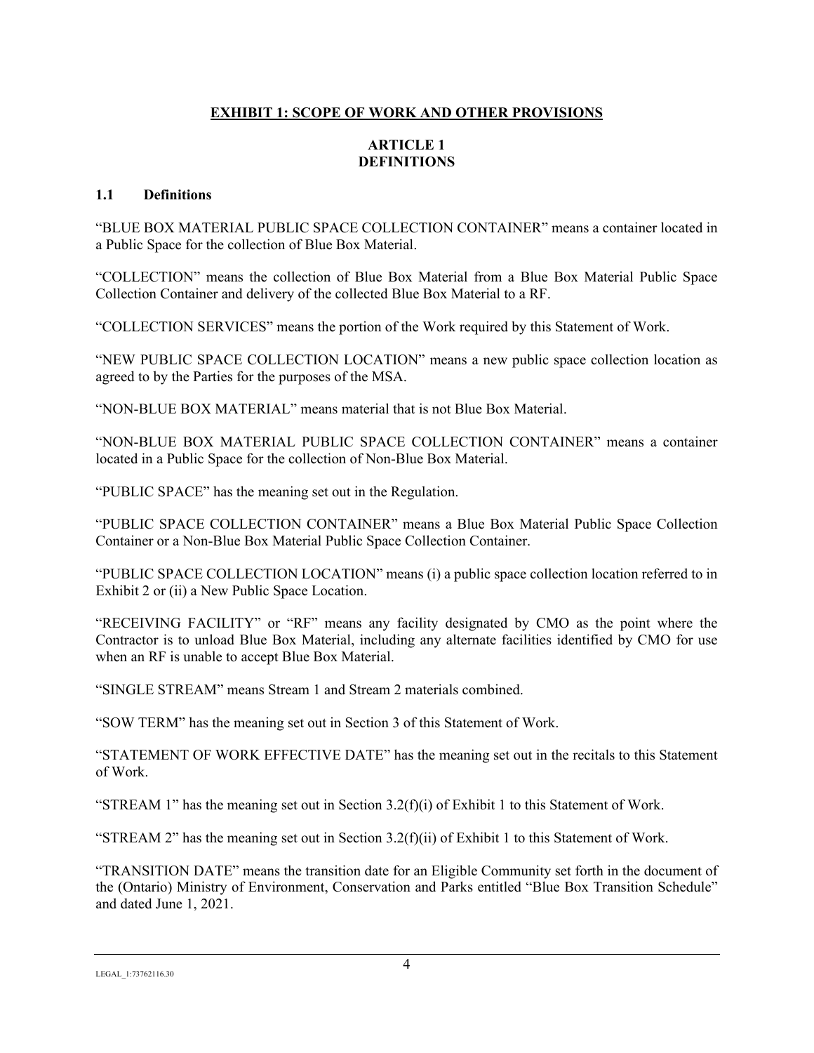# **EXHIBIT 1: SCOPE OF WORK AND OTHER PROVISIONS**

## **ARTICLE 1 DEFINITIONS**

#### <span id="page-5-2"></span><span id="page-5-1"></span><span id="page-5-0"></span>**1.1 Definitions**

"BLUE BOX MATERIAL PUBLIC SPACE COLLECTION CONTAINER" means a container located in a Public Space for the collection of Blue Box Material.

"COLLECTION" means the collection of Blue Box Material from a Blue Box Material Public Space Collection Container and delivery of the collected Blue Box Material to a RF.

"COLLECTION SERVICES" means the portion of the Work required by this Statement of Work.

"NEW PUBLIC SPACE COLLECTION LOCATION" means a new public space collection location as agreed to by the Parties for the purposes of the MSA.

"NON-BLUE BOX MATERIAL" means material that is not Blue Box Material.

"NON-BLUE BOX MATERIAL PUBLIC SPACE COLLECTION CONTAINER" means a container located in a Public Space for the collection of Non-Blue Box Material.

"PUBLIC SPACE" has the meaning set out in the Regulation.

"PUBLIC SPACE COLLECTION CONTAINER" means a Blue Box Material Public Space Collection Container or a Non-Blue Box Material Public Space Collection Container.

"PUBLIC SPACE COLLECTION LOCATION" means (i) a public space collection location referred to in Exhibit 2 or (ii) a New Public Space Location.

"RECEIVING FACILITY" or "RF" means any facility designated by CMO as the point where the Contractor is to unload Blue Box Material, including any alternate facilities identified by CMO for use when an RF is unable to accept Blue Box Material.

"SINGLE STREAM" means Stream 1 and Stream 2 materials combined.

"SOW TERM" has the meaning set out in Section 3 of this Statement of Work.

"STATEMENT OF WORK EFFECTIVE DATE" has the meaning set out in the recitals to this Statement of Work.

"STREAM 1" has the meaning set out in Section 3.2(f)(i) of Exhibit 1 to this Statement of Work.

"STREAM 2" has the meaning set out in Section  $3.2(f)(ii)$  of Exhibit 1 to this Statement of Work.

"TRANSITION DATE" means the transition date for an Eligible Community set forth in the document of the (Ontario) Ministry of Environment, Conservation and Parks entitled "Blue Box Transition Schedule" and dated June 1, 2021.

LEGAL\_1:73762116.30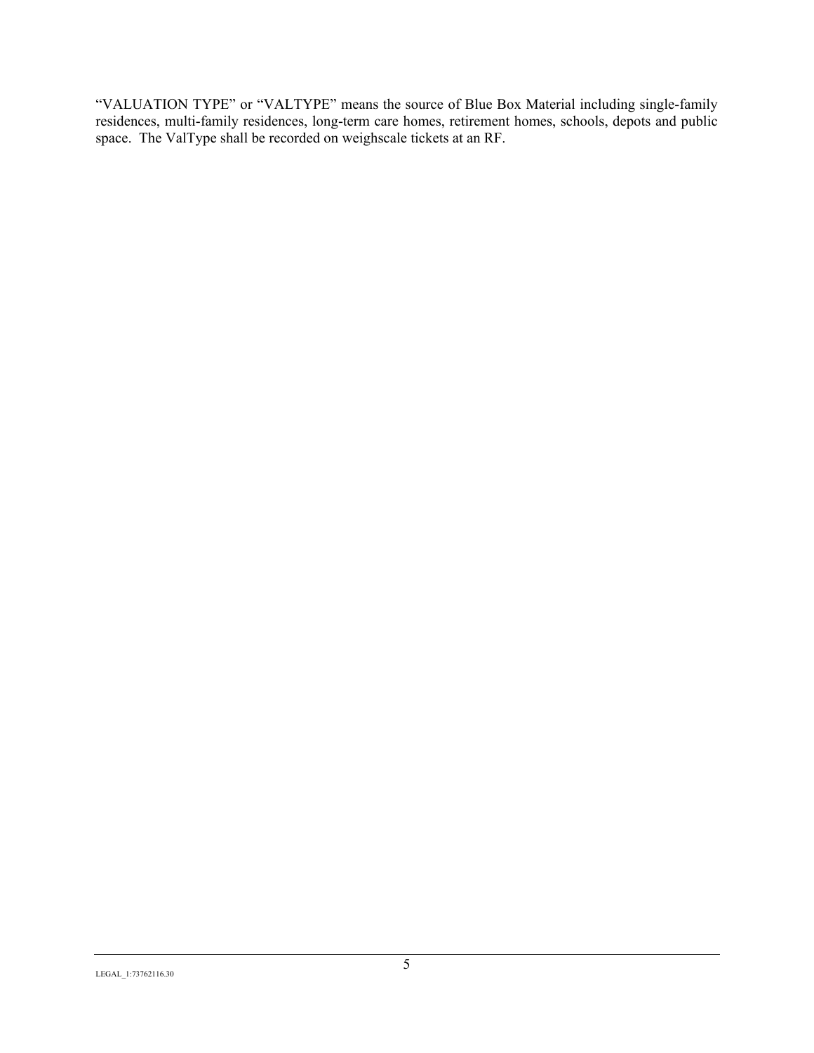"VALUATION TYPE" or "VALTYPE" means the source of Blue Box Material including single-family residences, multi-family residences, long-term care homes, retirement homes, schools, depots and public space. The ValType shall be recorded on weighscale tickets at an RF.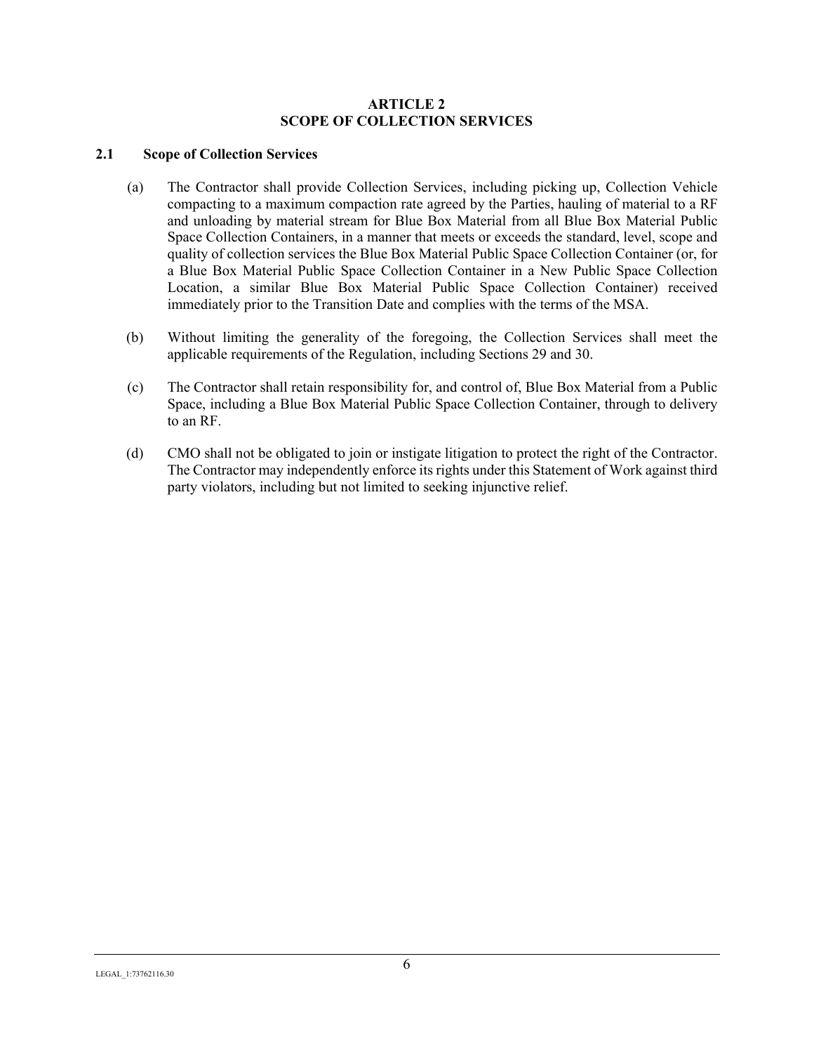#### **ARTICLE 2 SCOPE OF COLLECTION SERVICES**

### <span id="page-7-1"></span><span id="page-7-0"></span>**2.1 Scope of Collection Services**

- (a) The Contractor shall provide Collection Services, including picking up, Collection Vehicle compacting to a maximum compaction rate agreed by the Parties, hauling of material to a RF and unloading by material stream for Blue Box Material from all Blue Box Material Public Space Collection Containers, in a manner that meets or exceeds the standard, level, scope and quality of collection services the Blue Box Material Public Space Collection Container (or, for a Blue Box Material Public Space Collection Container in a New Public Space Collection Location, a similar Blue Box Material Public Space Collection Container) received immediately prior to the Transition Date and complies with the terms of the MSA.
- (b) Without limiting the generality of the foregoing, the Collection Services shall meet the applicable requirements of the Regulation, including Sections 29 and 30.
- (c) The Contractor shall retain responsibility for, and control of, Blue Box Material from a Public Space, including a Blue Box Material Public Space Collection Container, through to delivery to an RF.
- (d) CMO shall not be obligated to join or instigate litigation to protect the right of the Contractor. The Contractor may independently enforce its rights under this Statement of Work against third party violators, including but not limited to seeking injunctive relief.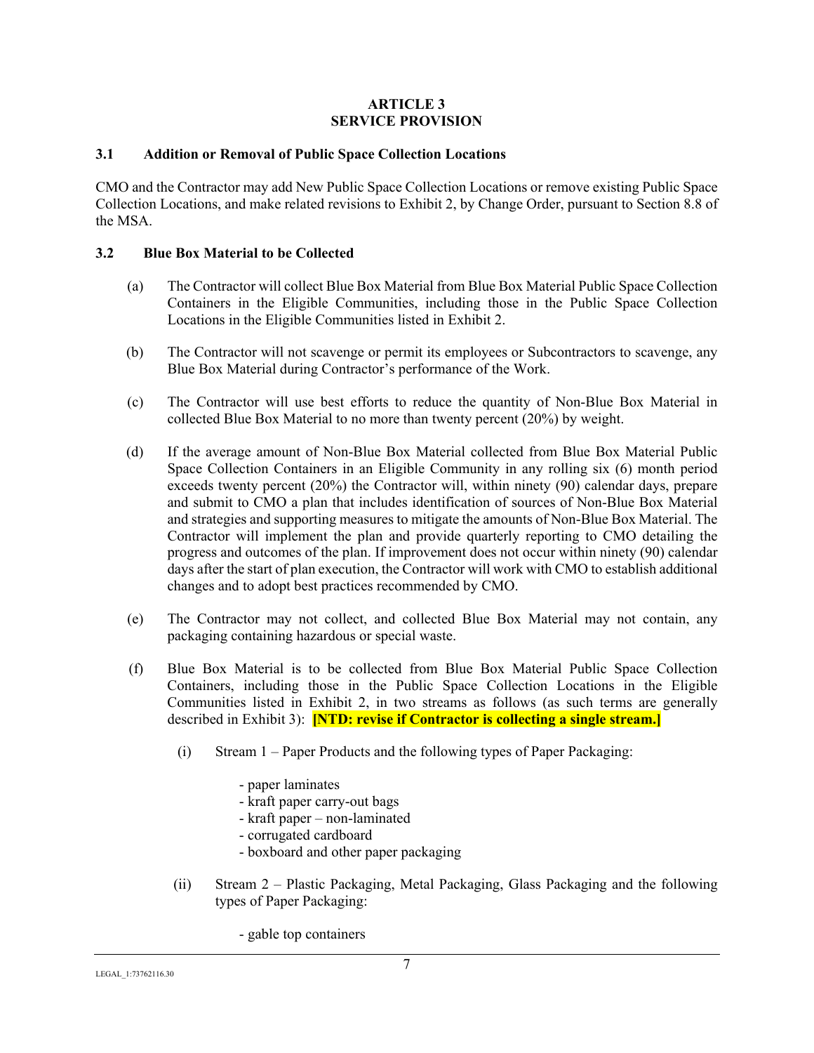#### **ARTICLE 3 SERVICE PROVISION**

### <span id="page-8-1"></span><span id="page-8-0"></span>**3.1 Addition or Removal of Public Space Collection Locations**

CMO and the Contractor may add New Public Space Collection Locations or remove existing Public Space Collection Locations, and make related revisions to Exhibit 2, by Change Order, pursuant to Section 8.8 of the MSA.

#### <span id="page-8-2"></span>**3.2 Blue Box Material to be Collected**

- (a) The Contractor will collect Blue Box Material from Blue Box Material Public Space Collection Containers in the Eligible Communities, including those in the Public Space Collection Locations in the Eligible Communities listed in Exhibit 2.
- (b) The Contractor will not scavenge or permit its employees or Subcontractors to scavenge, any Blue Box Material during Contractor's performance of the Work.
- (c) The Contractor will use best efforts to reduce the quantity of Non-Blue Box Material in collected Blue Box Material to no more than twenty percent (20%) by weight.
- (d) If the average amount of Non-Blue Box Material collected from Blue Box Material Public Space Collection Containers in an Eligible Community in any rolling six (6) month period exceeds twenty percent (20%) the Contractor will, within ninety (90) calendar days, prepare and submit to CMO a plan that includes identification of sources of Non-Blue Box Material and strategies and supporting measures to mitigate the amounts of Non-Blue Box Material. The Contractor will implement the plan and provide quarterly reporting to CMO detailing the progress and outcomes of the plan. If improvement does not occur within ninety (90) calendar days after the start of plan execution, the Contractor will work with CMO to establish additional changes and to adopt best practices recommended by CMO.
- (e) The Contractor may not collect, and collected Blue Box Material may not contain, any packaging containing hazardous or special waste.
- (f) Blue Box Material is to be collected from Blue Box Material Public Space Collection Containers, including those in the Public Space Collection Locations in the Eligible Communities listed in Exhibit 2, in two streams as follows (as such terms are generally described in Exhibit 3): **[NTD: revise if Contractor is collecting a single stream.]**
	- (i) Stream 1 Paper Products and the following types of Paper Packaging:
		- paper laminates
		- kraft paper carry-out bags
		- kraft paper non-laminated
		- corrugated cardboard
		- boxboard and other paper packaging
	- (ii) Stream 2 Plastic Packaging, Metal Packaging, Glass Packaging and the following types of Paper Packaging:
		- gable top containers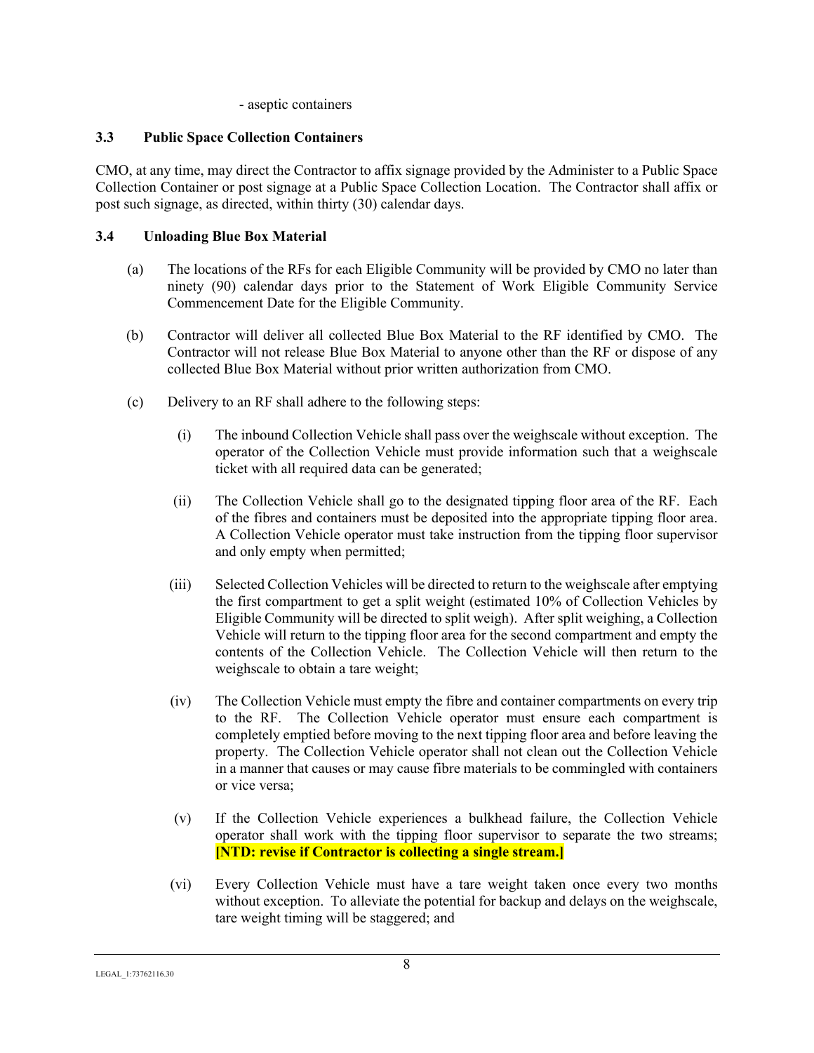- aseptic containers

### <span id="page-9-0"></span>**3.3 Public Space Collection Containers**

CMO, at any time, may direct the Contractor to affix signage provided by the Administer to a Public Space Collection Container or post signage at a Public Space Collection Location. The Contractor shall affix or post such signage, as directed, within thirty (30) calendar days.

### <span id="page-9-1"></span>**3.4 Unloading Blue Box Material**

- (a) The locations of the RFs for each Eligible Community will be provided by CMO no later than ninety (90) calendar days prior to the Statement of Work Eligible Community Service Commencement Date for the Eligible Community.
- (b) Contractor will deliver all collected Blue Box Material to the RF identified by CMO. The Contractor will not release Blue Box Material to anyone other than the RF or dispose of any collected Blue Box Material without prior written authorization from CMO.
- (c) Delivery to an RF shall adhere to the following steps:
	- (i) The inbound Collection Vehicle shall pass over the weighscale without exception. The operator of the Collection Vehicle must provide information such that a weighscale ticket with all required data can be generated;
	- (ii) The Collection Vehicle shall go to the designated tipping floor area of the RF. Each of the fibres and containers must be deposited into the appropriate tipping floor area. A Collection Vehicle operator must take instruction from the tipping floor supervisor and only empty when permitted;
	- (iii) Selected Collection Vehicles will be directed to return to the weighscale after emptying the first compartment to get a split weight (estimated 10% of Collection Vehicles by Eligible Community will be directed to split weigh). After split weighing, a Collection Vehicle will return to the tipping floor area for the second compartment and empty the contents of the Collection Vehicle. The Collection Vehicle will then return to the weighscale to obtain a tare weight;
	- (iv) The Collection Vehicle must empty the fibre and container compartments on every trip to the RF. The Collection Vehicle operator must ensure each compartment is completely emptied before moving to the next tipping floor area and before leaving the property. The Collection Vehicle operator shall not clean out the Collection Vehicle in a manner that causes or may cause fibre materials to be commingled with containers or vice versa;
	- (v) If the Collection Vehicle experiences a bulkhead failure, the Collection Vehicle operator shall work with the tipping floor supervisor to separate the two streams; **[NTD: revise if Contractor is collecting a single stream.]**
	- (vi) Every Collection Vehicle must have a tare weight taken once every two months without exception. To alleviate the potential for backup and delays on the weighscale, tare weight timing will be staggered; and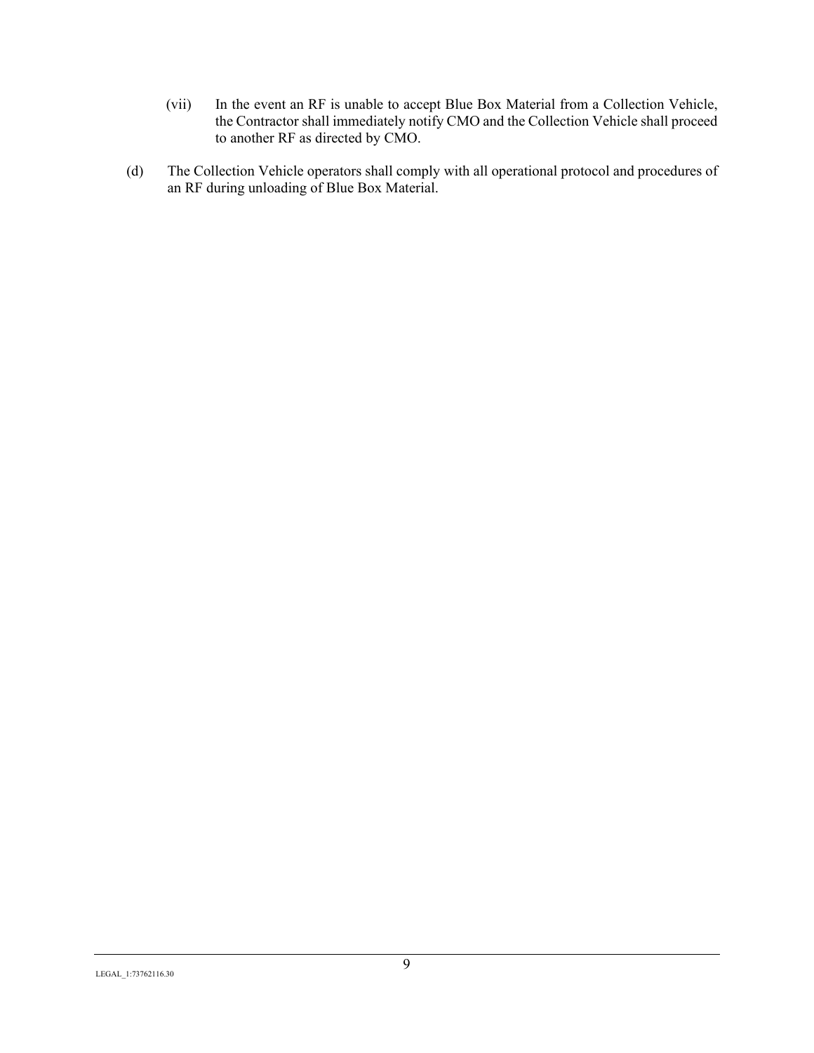- (vii) In the event an RF is unable to accept Blue Box Material from a Collection Vehicle, the Contractor shall immediately notify CMO and the Collection Vehicle shall proceed to another RF as directed by CMO.
- (d) The Collection Vehicle operators shall comply with all operational protocol and procedures of an RF during unloading of Blue Box Material.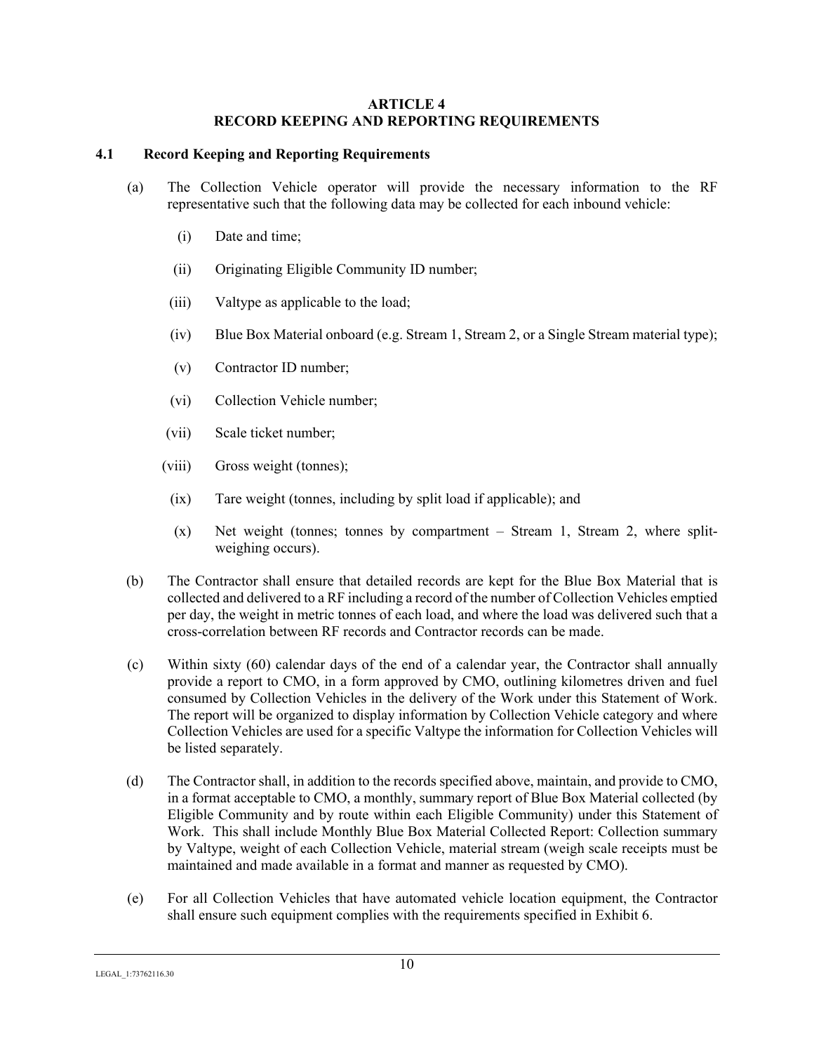#### **ARTICLE 4 RECORD KEEPING AND REPORTING REQUIREMENTS**

### <span id="page-11-1"></span><span id="page-11-0"></span>**4.1 Record Keeping and Reporting Requirements**

- (a) The Collection Vehicle operator will provide the necessary information to the RF representative such that the following data may be collected for each inbound vehicle:
	- (i) Date and time;
	- (ii) Originating Eligible Community ID number;
	- (iii) Valtype as applicable to the load;
	- (iv) Blue Box Material onboard (e.g. Stream 1, Stream 2, or a Single Stream material type);
	- (v) Contractor ID number;
	- (vi) Collection Vehicle number;
	- (vii) Scale ticket number;
	- (viii) Gross weight (tonnes);
	- (ix) Tare weight (tonnes, including by split load if applicable); and
	- (x) Net weight (tonnes; tonnes by compartment Stream 1, Stream 2, where splitweighing occurs).
- (b) The Contractor shall ensure that detailed records are kept for the Blue Box Material that is collected and delivered to a RF including a record of the number of Collection Vehicles emptied per day, the weight in metric tonnes of each load, and where the load was delivered such that a cross-correlation between RF records and Contractor records can be made.
- (c) Within sixty (60) calendar days of the end of a calendar year, the Contractor shall annually provide a report to CMO, in a form approved by CMO, outlining kilometres driven and fuel consumed by Collection Vehicles in the delivery of the Work under this Statement of Work. The report will be organized to display information by Collection Vehicle category and where Collection Vehicles are used for a specific Valtype the information for Collection Vehicles will be listed separately.
- (d) The Contractor shall, in addition to the records specified above, maintain, and provide to CMO, in a format acceptable to CMO, a monthly, summary report of Blue Box Material collected (by Eligible Community and by route within each Eligible Community) under this Statement of Work. This shall include Monthly Blue Box Material Collected Report: Collection summary by Valtype, weight of each Collection Vehicle, material stream (weigh scale receipts must be maintained and made available in a format and manner as requested by CMO).
- (e) For all Collection Vehicles that have automated vehicle location equipment, the Contractor shall ensure such equipment complies with the requirements specified in Exhibit 6.

LEGAL\_1:73762116.30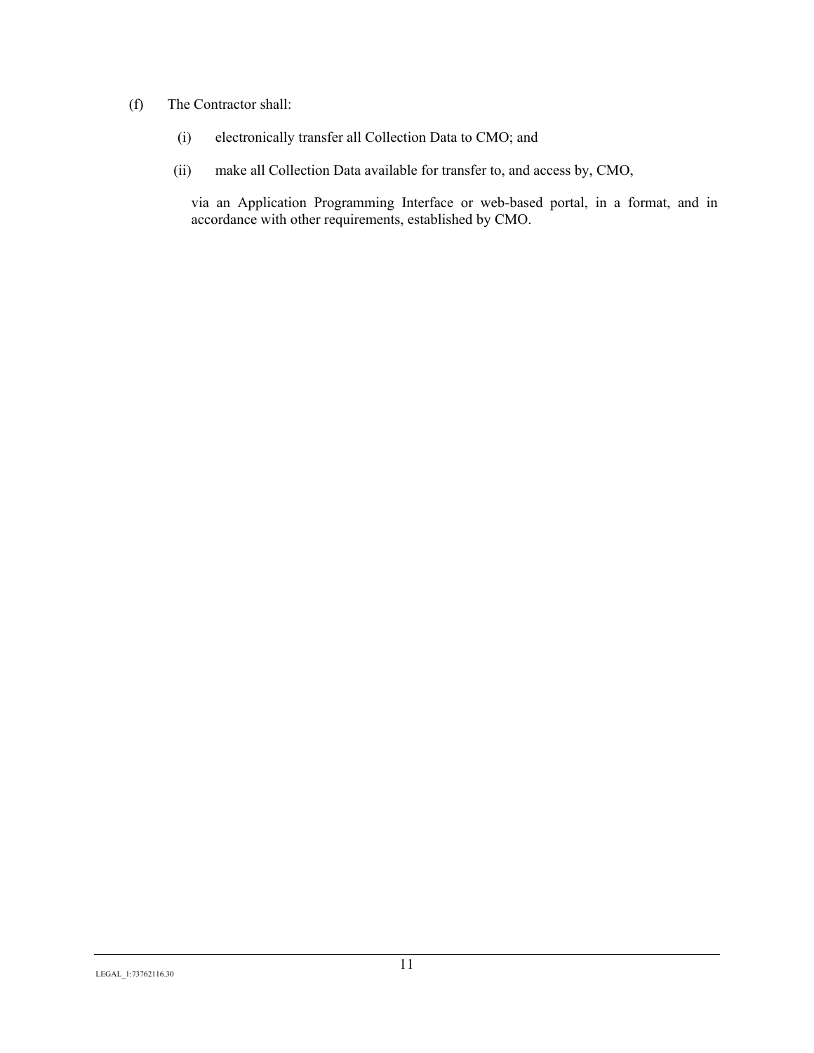#### (f) The Contractor shall:

- (i) electronically transfer all Collection Data to CMO; and
- (ii) make all Collection Data available for transfer to, and access by, CMO,

via an Application Programming Interface or web-based portal, in a format, and in accordance with other requirements, established by CMO.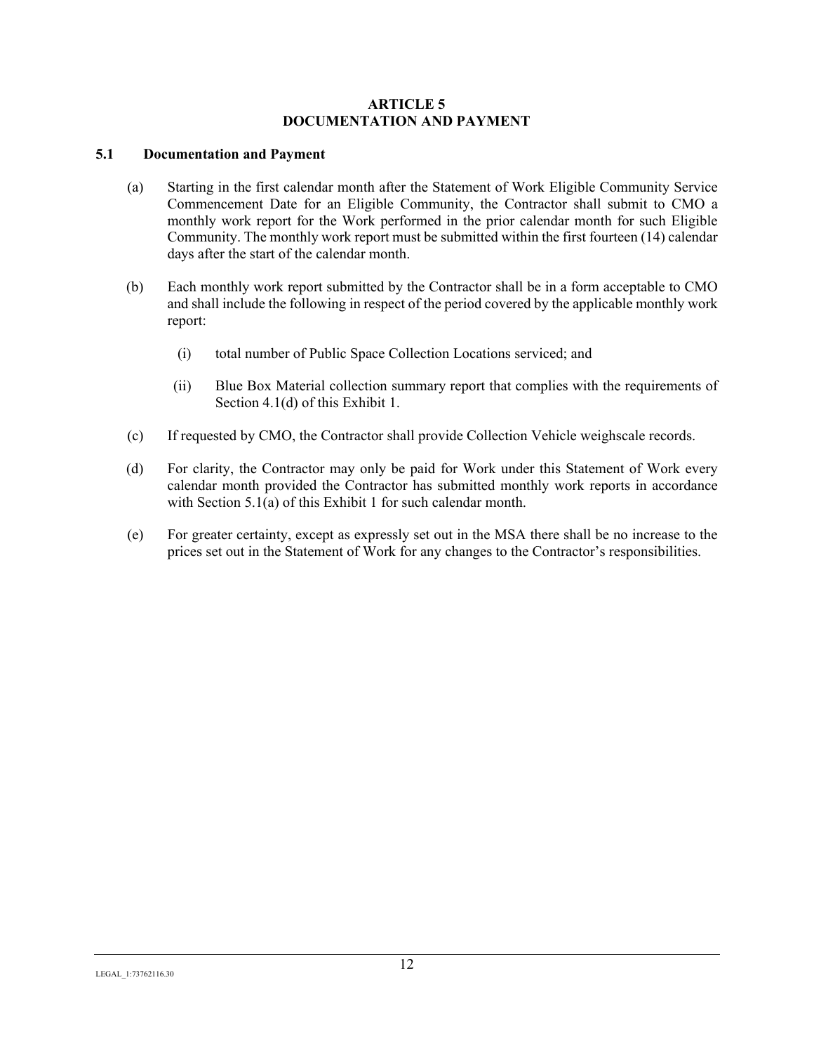#### **ARTICLE 5 DOCUMENTATION AND PAYMENT**

### <span id="page-13-1"></span><span id="page-13-0"></span>**5.1 Documentation and Payment**

- (a) Starting in the first calendar month after the Statement of Work Eligible Community Service Commencement Date for an Eligible Community, the Contractor shall submit to CMO a monthly work report for the Work performed in the prior calendar month for such Eligible Community. The monthly work report must be submitted within the first fourteen (14) calendar days after the start of the calendar month.
- (b) Each monthly work report submitted by the Contractor shall be in a form acceptable to CMO and shall include the following in respect of the period covered by the applicable monthly work report:
	- (i) total number of Public Space Collection Locations serviced; and
	- (ii) Blue Box Material collection summary report that complies with the requirements of Section 4.1(d) of this Exhibit 1.
- (c) If requested by CMO, the Contractor shall provide Collection Vehicle weighscale records.
- (d) For clarity, the Contractor may only be paid for Work under this Statement of Work every calendar month provided the Contractor has submitted monthly work reports in accordance with Section 5.1(a) of this Exhibit 1 for such calendar month.
- (e) For greater certainty, except as expressly set out in the MSA there shall be no increase to the prices set out in the Statement of Work for any changes to the Contractor's responsibilities.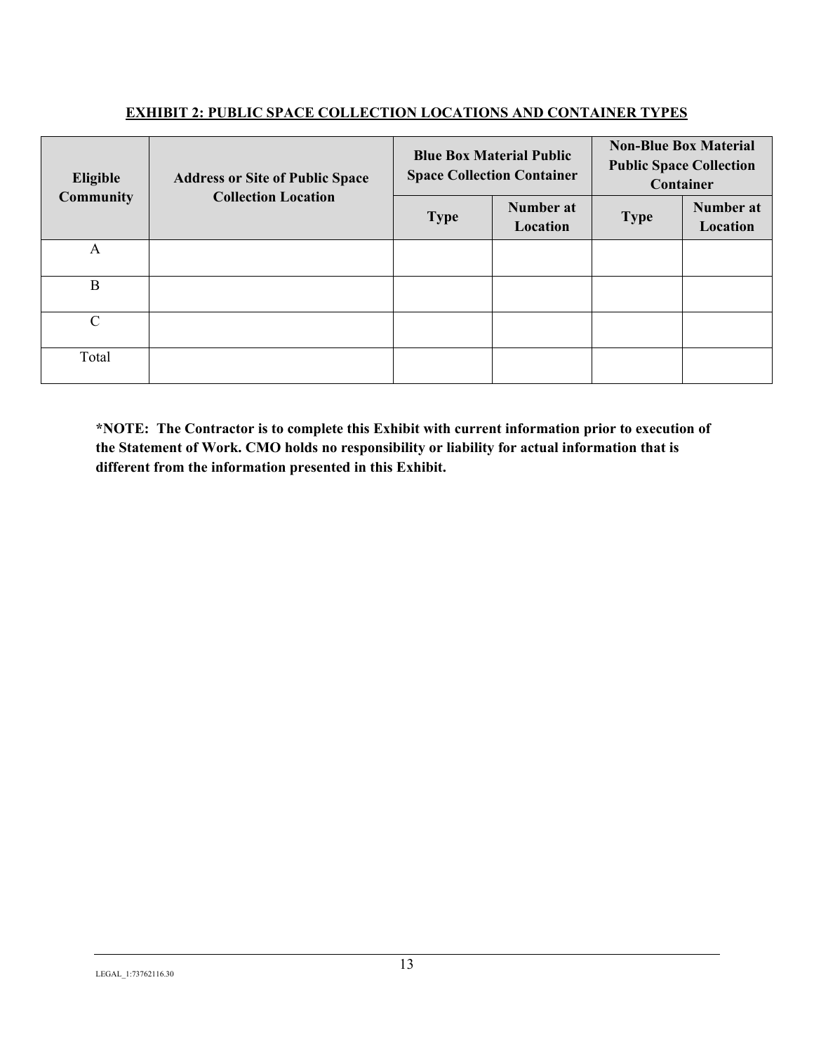# <span id="page-14-0"></span>**EXHIBIT 2: PUBLIC SPACE COLLECTION LOCATIONS AND CONTAINER TYPES**

| Eligible         | <b>Address or Site of Public Space</b><br><b>Collection Location</b> | <b>Blue Box Material Public</b><br><b>Space Collection Container</b> |                       | <b>Non-Blue Box Material</b><br><b>Public Space Collection</b><br>Container |                       |
|------------------|----------------------------------------------------------------------|----------------------------------------------------------------------|-----------------------|-----------------------------------------------------------------------------|-----------------------|
| <b>Community</b> |                                                                      | <b>Type</b>                                                          | Number at<br>Location | <b>Type</b>                                                                 | Number at<br>Location |
| A                |                                                                      |                                                                      |                       |                                                                             |                       |
| B                |                                                                      |                                                                      |                       |                                                                             |                       |
| $\mathcal{C}$    |                                                                      |                                                                      |                       |                                                                             |                       |
| Total            |                                                                      |                                                                      |                       |                                                                             |                       |

**\*NOTE: The Contractor is to complete this Exhibit with current information prior to execution of the Statement of Work. CMO holds no responsibility or liability for actual information that is different from the information presented in this Exhibit.**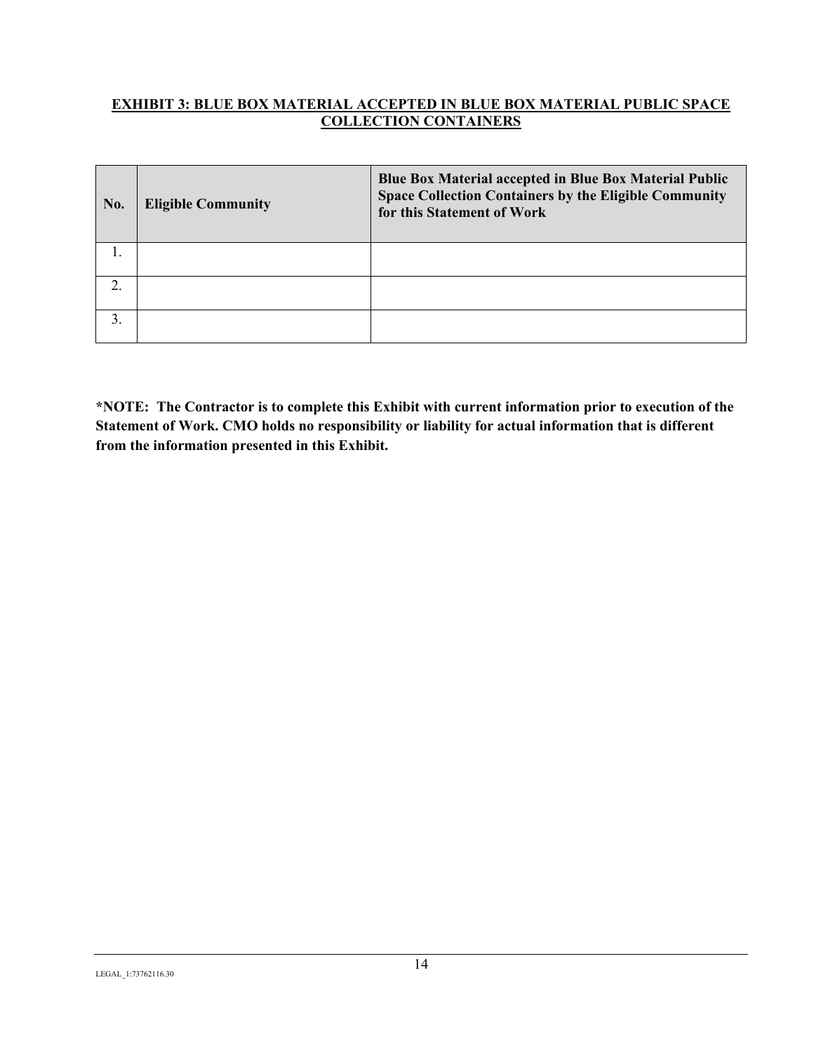# <span id="page-15-0"></span>**EXHIBIT 3: BLUE BOX MATERIAL ACCEPTED IN BLUE BOX MATERIAL PUBLIC SPACE COLLECTION CONTAINERS**

| No. | <b>Eligible Community</b> | Blue Box Material accepted in Blue Box Material Public<br><b>Space Collection Containers by the Eligible Community</b><br>for this Statement of Work |
|-----|---------------------------|------------------------------------------------------------------------------------------------------------------------------------------------------|
|     |                           |                                                                                                                                                      |
| 2.  |                           |                                                                                                                                                      |
|     |                           |                                                                                                                                                      |

**\*NOTE: The Contractor is to complete this Exhibit with current information prior to execution of the Statement of Work. CMO holds no responsibility or liability for actual information that is different from the information presented in this Exhibit.**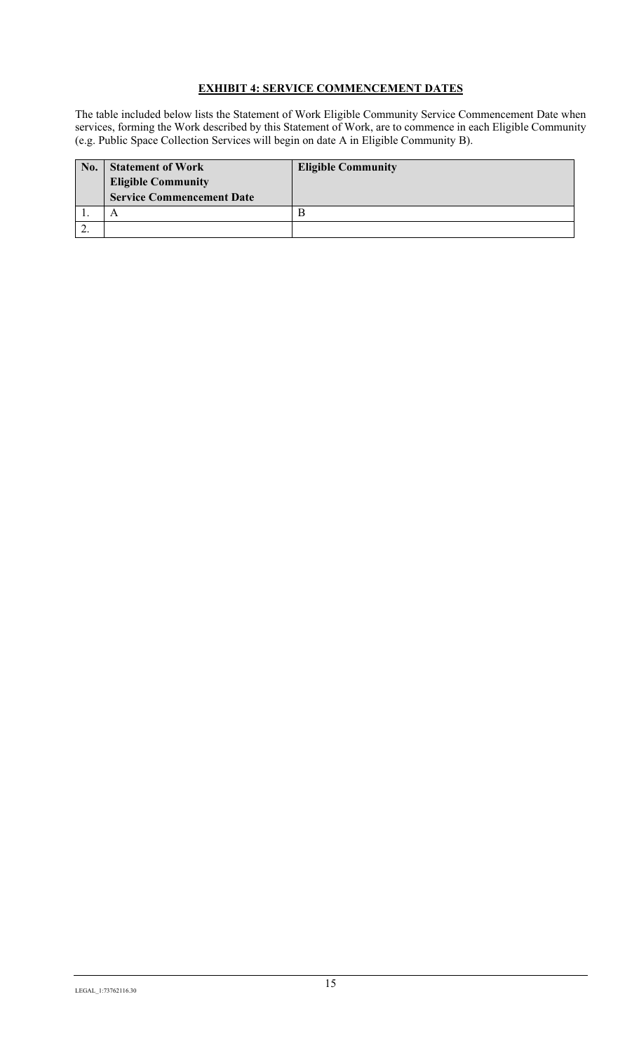# **EXHIBIT 4: SERVICE COMMENCEMENT DATES**

<span id="page-16-0"></span>The table included below lists the Statement of Work Eligible Community Service Commencement Date when services, forming the Work described by this Statement of Work, are to commence in each Eligible Community (e.g. Public Space Collection Services will begin on date A in Eligible Community B).

| No. | <b>Statement of Work</b><br><b>Eligible Community</b><br><b>Service Commencement Date</b> | <b>Eligible Community</b> |
|-----|-------------------------------------------------------------------------------------------|---------------------------|
|     |                                                                                           |                           |
|     |                                                                                           |                           |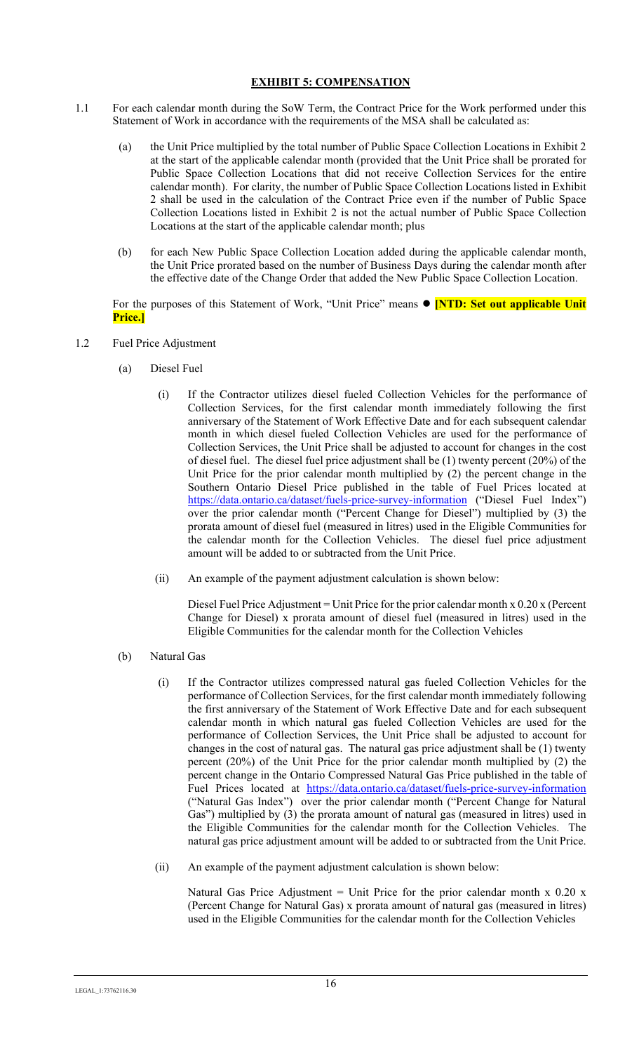# **EXHIBIT 5: COMPENSATION**

- <span id="page-17-0"></span>1.1 For each calendar month during the SoW Term, the Contract Price for the Work performed under this Statement of Work in accordance with the requirements of the MSA shall be calculated as:
	- (a) the Unit Price multiplied by the total number of Public Space Collection Locations in Exhibit 2 at the start of the applicable calendar month (provided that the Unit Price shall be prorated for Public Space Collection Locations that did not receive Collection Services for the entire calendar month). For clarity, the number of Public Space Collection Locations listed in Exhibit 2 shall be used in the calculation of the Contract Price even if the number of Public Space Collection Locations listed in Exhibit 2 is not the actual number of Public Space Collection Locations at the start of the applicable calendar month; plus
	- (b) for each New Public Space Collection Location added during the applicable calendar month, the Unit Price prorated based on the number of Business Days during the calendar month after the effective date of the Change Order that added the New Public Space Collection Location.

For the purposes of this Statement of Work, "Unit Price" means  $\bullet$  **[NTD: Set out applicable Unit Price.]**

- 1.2 Fuel Price Adjustment
	- (a) Diesel Fuel
		- (i) If the Contractor utilizes diesel fueled Collection Vehicles for the performance of Collection Services, for the first calendar month immediately following the first anniversary of the Statement of Work Effective Date and for each subsequent calendar month in which diesel fueled Collection Vehicles are used for the performance of Collection Services, the Unit Price shall be adjusted to account for changes in the cost of diesel fuel. The diesel fuel price adjustment shall be (1) twenty percent (20%) of the Unit Price for the prior calendar month multiplied by (2) the percent change in the Southern Ontario Diesel Price published in the table of Fuel Prices located at <https://data.ontario.ca/dataset/fuels-price-survey-information> ("Diesel Fuel Index") over the prior calendar month ("Percent Change for Diesel") multiplied by (3) the prorata amount of diesel fuel (measured in litres) used in the Eligible Communities for the calendar month for the Collection Vehicles. The diesel fuel price adjustment amount will be added to or subtracted from the Unit Price.
		- (ii) An example of the payment adjustment calculation is shown below:

Diesel Fuel Price Adjustment = Unit Price for the prior calendar month  $x$  0.20  $x$  (Percent Change for Diesel) x prorata amount of diesel fuel (measured in litres) used in the Eligible Communities for the calendar month for the Collection Vehicles

- (b) Natural Gas
	- (i) If the Contractor utilizes compressed natural gas fueled Collection Vehicles for the performance of Collection Services, for the first calendar month immediately following the first anniversary of the Statement of Work Effective Date and for each subsequent calendar month in which natural gas fueled Collection Vehicles are used for the performance of Collection Services, the Unit Price shall be adjusted to account for changes in the cost of natural gas. The natural gas price adjustment shall be (1) twenty percent (20%) of the Unit Price for the prior calendar month multiplied by (2) the percent change in the Ontario Compressed Natural Gas Price published in the table of Fuel Prices located at <https://data.ontario.ca/dataset/fuels-price-survey-information> ("Natural Gas Index") over the prior calendar month ("Percent Change for Natural Gas") multiplied by (3) the prorata amount of natural gas (measured in litres) used in the Eligible Communities for the calendar month for the Collection Vehicles. The natural gas price adjustment amount will be added to or subtracted from the Unit Price.
	- (ii) An example of the payment adjustment calculation is shown below:

Natural Gas Price Adjustment = Unit Price for the prior calendar month x 0.20 x (Percent Change for Natural Gas) x prorata amount of natural gas (measured in litres) used in the Eligible Communities for the calendar month for the Collection Vehicles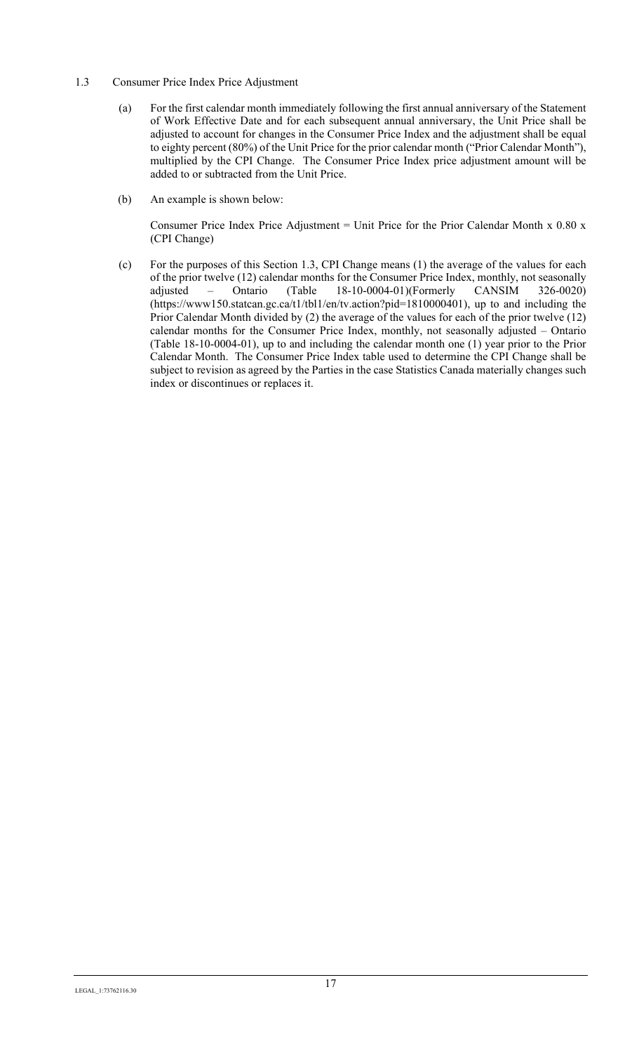# 1.3 Consumer Price Index Price Adjustment

- (a) For the first calendar month immediately following the first annual anniversary of the Statement of Work Effective Date and for each subsequent annual anniversary, the Unit Price shall be adjusted to account for changes in the Consumer Price Index and the adjustment shall be equal to eighty percent (80%) of the Unit Price for the prior calendar month ("Prior Calendar Month"), multiplied by the CPI Change. The Consumer Price Index price adjustment amount will be added to or subtracted from the Unit Price.
- (b) An example is shown below:

Consumer Price Index Price Adjustment = Unit Price for the Prior Calendar Month x  $0.80$  x (CPI Change)

(c) For the purposes of this Section 1.3, CPI Change means (1) the average of the values for each of the prior twelve (12) calendar months for the Consumer Price Index, monthly, not seasonally adjusted – Ontario (Table 18-10-0004-01)(Formerly CANSIM 326-0020) (https://www150.statcan.gc.ca/t1/tbl1/en/tv.action?pid=1810000401), up to and including the Prior Calendar Month divided by (2) the average of the values for each of the prior twelve (12) calendar months for the Consumer Price Index, monthly, not seasonally adjusted – Ontario (Table 18-10-0004-01), up to and including the calendar month one (1) year prior to the Prior Calendar Month. The Consumer Price Index table used to determine the CPI Change shall be subject to revision as agreed by the Parties in the case Statistics Canada materially changes such index or discontinues or replaces it.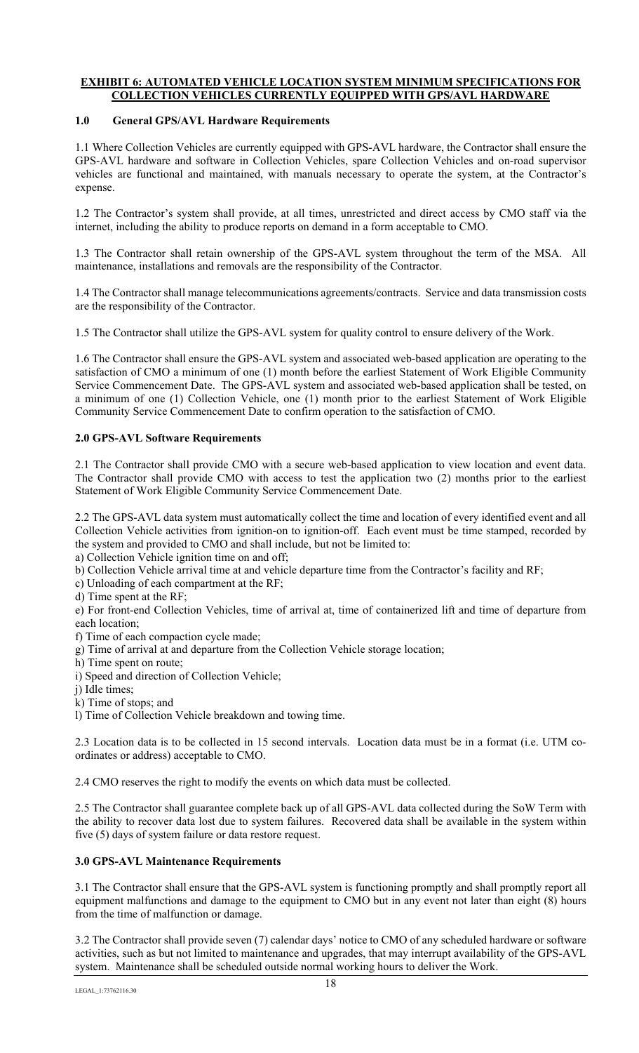# <span id="page-19-0"></span>**EXHIBIT 6: AUTOMATED VEHICLE LOCATION SYSTEM MINIMUM SPECIFICATIONS FOR COLLECTION VEHICLES CURRENTLY EQUIPPED WITH GPS/AVL HARDWARE**

# **1.0 General GPS/AVL Hardware Requirements**

1.1 Where Collection Vehicles are currently equipped with GPS-AVL hardware, the Contractor shall ensure the GPS-AVL hardware and software in Collection Vehicles, spare Collection Vehicles and on-road supervisor vehicles are functional and maintained, with manuals necessary to operate the system, at the Contractor's expense.

1.2 The Contractor's system shall provide, at all times, unrestricted and direct access by CMO staff via the internet, including the ability to produce reports on demand in a form acceptable to CMO.

1.3 The Contractor shall retain ownership of the GPS-AVL system throughout the term of the MSA. All maintenance, installations and removals are the responsibility of the Contractor.

1.4 The Contractor shall manage telecommunications agreements/contracts. Service and data transmission costs are the responsibility of the Contractor.

1.5 The Contractor shall utilize the GPS-AVL system for quality control to ensure delivery of the Work.

1.6 The Contractor shall ensure the GPS-AVL system and associated web-based application are operating to the satisfaction of CMO a minimum of one (1) month before the earliest Statement of Work Eligible Community Service Commencement Date. The GPS-AVL system and associated web-based application shall be tested, on a minimum of one (1) Collection Vehicle, one (1) month prior to the earliest Statement of Work Eligible Community Service Commencement Date to confirm operation to the satisfaction of CMO.

# **2.0 GPS-AVL Software Requirements**

2.1 The Contractor shall provide CMO with a secure web-based application to view location and event data. The Contractor shall provide CMO with access to test the application two (2) months prior to the earliest Statement of Work Eligible Community Service Commencement Date.

2.2 The GPS-AVL data system must automatically collect the time and location of every identified event and all Collection Vehicle activities from ignition-on to ignition-off. Each event must be time stamped, recorded by the system and provided to CMO and shall include, but not be limited to:

a) Collection Vehicle ignition time on and off;

b) Collection Vehicle arrival time at and vehicle departure time from the Contractor's facility and RF;

c) Unloading of each compartment at the RF;

d) Time spent at the RF;

e) For front-end Collection Vehicles, time of arrival at, time of containerized lift and time of departure from each location;

f) Time of each compaction cycle made;

- g) Time of arrival at and departure from the Collection Vehicle storage location;
- h) Time spent on route;
- i) Speed and direction of Collection Vehicle;

j) Idle times;

k) Time of stops; and

l) Time of Collection Vehicle breakdown and towing time.

2.3 Location data is to be collected in 15 second intervals. Location data must be in a format (i.e. UTM coordinates or address) acceptable to CMO.

2.4 CMO reserves the right to modify the events on which data must be collected.

2.5 The Contractor shall guarantee complete back up of all GPS-AVL data collected during the SoW Term with the ability to recover data lost due to system failures. Recovered data shall be available in the system within five (5) days of system failure or data restore request.

# **3.0 GPS-AVL Maintenance Requirements**

3.1 The Contractor shall ensure that the GPS-AVL system is functioning promptly and shall promptly report all equipment malfunctions and damage to the equipment to CMO but in any event not later than eight (8) hours from the time of malfunction or damage.

3.2 The Contractor shall provide seven (7) calendar days' notice to CMO of any scheduled hardware or software activities, such as but not limited to maintenance and upgrades, that may interrupt availability of the GPS-AVL system. Maintenance shall be scheduled outside normal working hours to deliver the Work.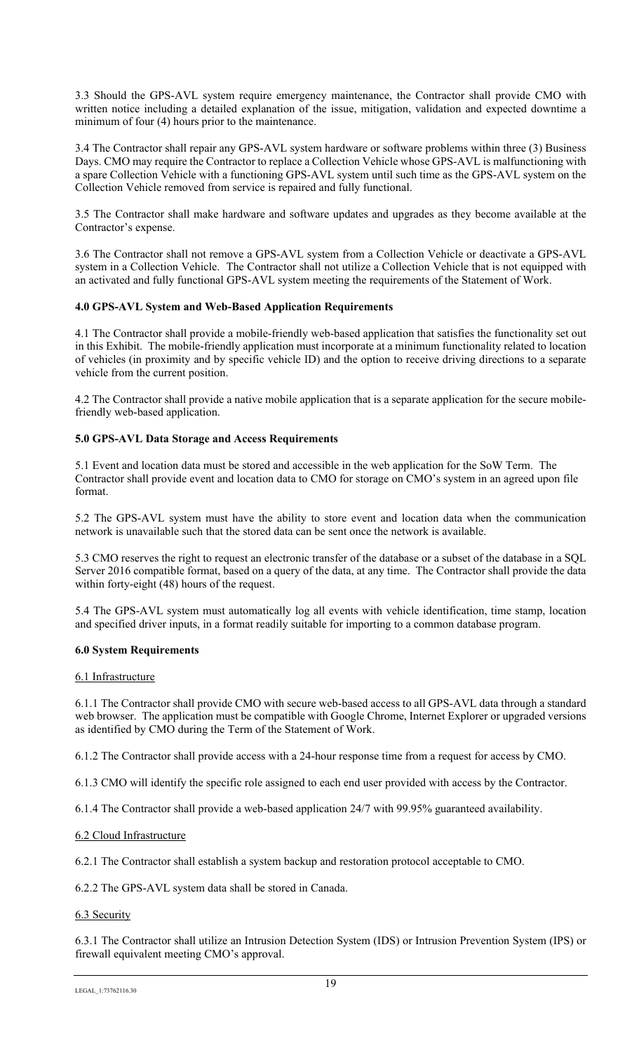3.3 Should the GPS-AVL system require emergency maintenance, the Contractor shall provide CMO with written notice including a detailed explanation of the issue, mitigation, validation and expected downtime a minimum of four (4) hours prior to the maintenance.

3.4 The Contractor shall repair any GPS-AVL system hardware or software problems within three (3) Business Days. CMO may require the Contractor to replace a Collection Vehicle whose GPS-AVL is malfunctioning with a spare Collection Vehicle with a functioning GPS-AVL system until such time as the GPS-AVL system on the Collection Vehicle removed from service is repaired and fully functional.

3.5 The Contractor shall make hardware and software updates and upgrades as they become available at the Contractor's expense.

3.6 The Contractor shall not remove a GPS-AVL system from a Collection Vehicle or deactivate a GPS-AVL system in a Collection Vehicle. The Contractor shall not utilize a Collection Vehicle that is not equipped with an activated and fully functional GPS-AVL system meeting the requirements of the Statement of Work.

# **4.0 GPS-AVL System and Web-Based Application Requirements**

4.1 The Contractor shall provide a mobile-friendly web-based application that satisfies the functionality set out in this Exhibit. The mobile-friendly application must incorporate at a minimum functionality related to location of vehicles (in proximity and by specific vehicle ID) and the option to receive driving directions to a separate vehicle from the current position.

4.2 The Contractor shall provide a native mobile application that is a separate application for the secure mobilefriendly web-based application.

# **5.0 GPS-AVL Data Storage and Access Requirements**

5.1 Event and location data must be stored and accessible in the web application for the SoW Term. The Contractor shall provide event and location data to CMO for storage on CMO's system in an agreed upon file format.

5.2 The GPS-AVL system must have the ability to store event and location data when the communication network is unavailable such that the stored data can be sent once the network is available.

5.3 CMO reserves the right to request an electronic transfer of the database or a subset of the database in a SQL Server 2016 compatible format, based on a query of the data, at any time. The Contractor shall provide the data within forty-eight (48) hours of the request.

5.4 The GPS-AVL system must automatically log all events with vehicle identification, time stamp, location and specified driver inputs, in a format readily suitable for importing to a common database program.

### **6.0 System Requirements**

### 6.1 Infrastructure

6.1.1 The Contractor shall provide CMO with secure web-based access to all GPS-AVL data through a standard web browser. The application must be compatible with Google Chrome, Internet Explorer or upgraded versions as identified by CMO during the Term of the Statement of Work.

6.1.2 The Contractor shall provide access with a 24-hour response time from a request for access by CMO.

6.1.3 CMO will identify the specific role assigned to each end user provided with access by the Contractor.

6.1.4 The Contractor shall provide a web-based application 24/7 with 99.95% guaranteed availability.

### 6.2 Cloud Infrastructure

6.2.1 The Contractor shall establish a system backup and restoration protocol acceptable to CMO.

6.2.2 The GPS-AVL system data shall be stored in Canada.

# 6.3 Security

6.3.1 The Contractor shall utilize an Intrusion Detection System (IDS) or Intrusion Prevention System (IPS) or firewall equivalent meeting CMO's approval.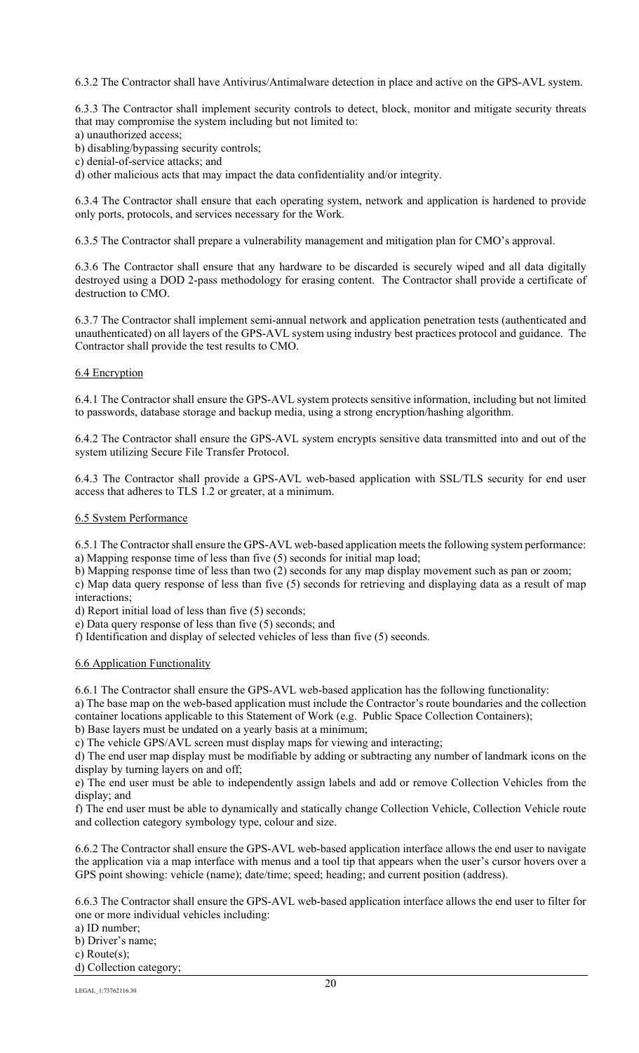6.3.2 The Contractor shall have Antivirus/Antimalware detection in place and active on the GPS-AVL system.

6.3.3 The Contractor shall implement security controls to detect, block, monitor and mitigate security threats that may compromise the system including but not limited to:

- a) unauthorized access;
- b) disabling/bypassing security controls;
- c) denial-of-service attacks; and

d) other malicious acts that may impact the data confidentiality and/or integrity.

6.3.4 The Contractor shall ensure that each operating system, network and application is hardened to provide only ports, protocols, and services necessary for the Work.

6.3.5 The Contractor shall prepare a vulnerability management and mitigation plan for CMO's approval.

6.3.6 The Contractor shall ensure that any hardware to be discarded is securely wiped and all data digitally destroyed using a DOD 2-pass methodology for erasing content. The Contractor shall provide a certificate of destruction to CMO.

6.3.7 The Contractor shall implement semi-annual network and application penetration tests (authenticated and unauthenticated) on all layers of the GPS-AVL system using industry best practices protocol and guidance. The Contractor shall provide the test results to CMO.

### 6.4 Encryption

6.4.1 The Contractor shall ensure the GPS-AVL system protects sensitive information, including but not limited to passwords, database storage and backup media, using a strong encryption/hashing algorithm.

6.4.2 The Contractor shall ensure the GPS-AVL system encrypts sensitive data transmitted into and out of the system utilizing Secure File Transfer Protocol.

6.4.3 The Contractor shall provide a GPS-AVL web-based application with SSL/TLS security for end user access that adheres to TLS 1.2 or greater, at a minimum.

### 6.5 System Performance

6.5.1 The Contractor shall ensure the GPS-AVL web-based application meets the following system performance: a) Mapping response time of less than five (5) seconds for initial map load;

b) Mapping response time of less than two (2) seconds for any map display movement such as pan or zoom; c) Map data query response of less than five (5) seconds for retrieving and displaying data as a result of map interactions;

d) Report initial load of less than five (5) seconds;

e) Data query response of less than five (5) seconds; and

f) Identification and display of selected vehicles of less than five (5) seconds.

### 6.6 Application Functionality

6.6.1 The Contractor shall ensure the GPS-AVL web-based application has the following functionality:

a) The base map on the web-based application must include the Contractor's route boundaries and the collection container locations applicable to this Statement of Work (e.g. Public Space Collection Containers);

b) Base layers must be undated on a yearly basis at a minimum;

c) The vehicle GPS/AVL screen must display maps for viewing and interacting;

d) The end user map display must be modifiable by adding or subtracting any number of landmark icons on the display by turning layers on and off;

e) The end user must be able to independently assign labels and add or remove Collection Vehicles from the display; and

f) The end user must be able to dynamically and statically change Collection Vehicle, Collection Vehicle route and collection category symbology type, colour and size.

6.6.2 The Contractor shall ensure the GPS-AVL web-based application interface allows the end user to navigate the application via a map interface with menus and a tool tip that appears when the user's cursor hovers over a GPS point showing: vehicle (name); date/time; speed; heading; and current position (address).

6.6.3 The Contractor shall ensure the GPS-AVL web-based application interface allows the end user to filter for one or more individual vehicles including:

a) ID number; b) Driver's name; c) Route(s); d) Collection category;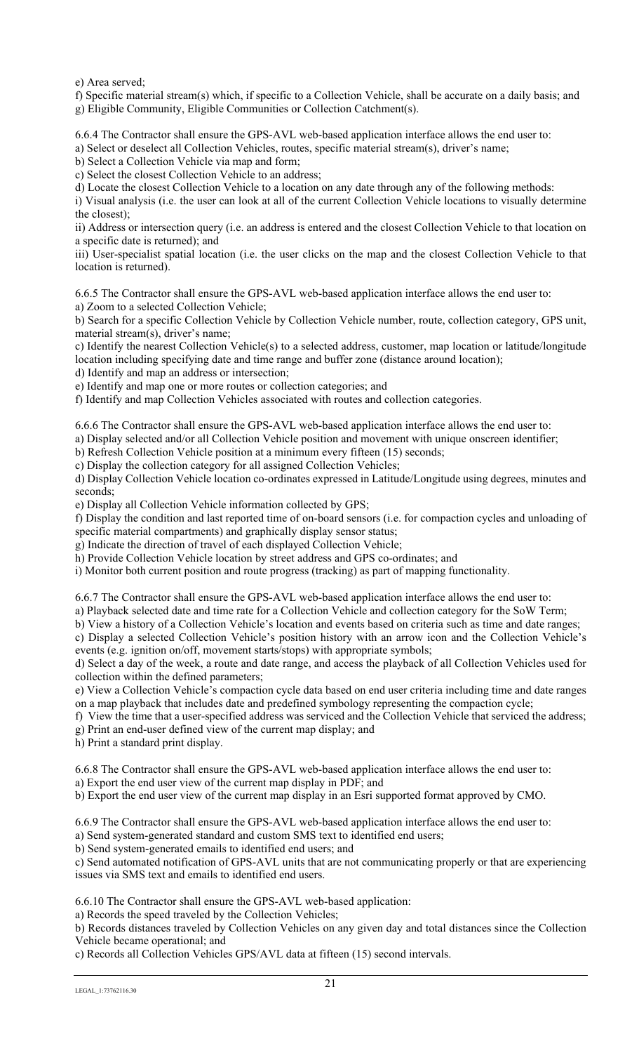e) Area served;

f) Specific material stream(s) which, if specific to a Collection Vehicle, shall be accurate on a daily basis; and g) Eligible Community, Eligible Communities or Collection Catchment(s).

6.6.4 The Contractor shall ensure the GPS-AVL web-based application interface allows the end user to: a) Select or deselect all Collection Vehicles, routes, specific material stream(s), driver's name;

b) Select a Collection Vehicle via map and form;

c) Select the closest Collection Vehicle to an address;

d) Locate the closest Collection Vehicle to a location on any date through any of the following methods:

i) Visual analysis (i.e. the user can look at all of the current Collection Vehicle locations to visually determine the closest);

ii) Address or intersection query (i.e. an address is entered and the closest Collection Vehicle to that location on a specific date is returned); and

iii) User-specialist spatial location (i.e. the user clicks on the map and the closest Collection Vehicle to that location is returned).

6.6.5 The Contractor shall ensure the GPS-AVL web-based application interface allows the end user to: a) Zoom to a selected Collection Vehicle;

b) Search for a specific Collection Vehicle by Collection Vehicle number, route, collection category, GPS unit, material stream(s), driver's name;

c) Identify the nearest Collection Vehicle(s) to a selected address, customer, map location or latitude/longitude location including specifying date and time range and buffer zone (distance around location);

d) Identify and map an address or intersection;

e) Identify and map one or more routes or collection categories; and

f) Identify and map Collection Vehicles associated with routes and collection categories.

6.6.6 The Contractor shall ensure the GPS-AVL web-based application interface allows the end user to:

a) Display selected and/or all Collection Vehicle position and movement with unique onscreen identifier;

b) Refresh Collection Vehicle position at a minimum every fifteen (15) seconds;

c) Display the collection category for all assigned Collection Vehicles;

d) Display Collection Vehicle location co-ordinates expressed in Latitude/Longitude using degrees, minutes and seconds;

e) Display all Collection Vehicle information collected by GPS;

f) Display the condition and last reported time of on-board sensors (i.e. for compaction cycles and unloading of specific material compartments) and graphically display sensor status;

g) Indicate the direction of travel of each displayed Collection Vehicle;

h) Provide Collection Vehicle location by street address and GPS co-ordinates; and

i) Monitor both current position and route progress (tracking) as part of mapping functionality.

6.6.7 The Contractor shall ensure the GPS-AVL web-based application interface allows the end user to:

a) Playback selected date and time rate for a Collection Vehicle and collection category for the SoW Term;

b) View a history of a Collection Vehicle's location and events based on criteria such as time and date ranges;

c) Display a selected Collection Vehicle's position history with an arrow icon and the Collection Vehicle's events (e.g. ignition on/off, movement starts/stops) with appropriate symbols;

d) Select a day of the week, a route and date range, and access the playback of all Collection Vehicles used for collection within the defined parameters;

e) View a Collection Vehicle's compaction cycle data based on end user criteria including time and date ranges on a map playback that includes date and predefined symbology representing the compaction cycle;

f) View the time that a user-specified address was serviced and the Collection Vehicle that serviced the address; g) Print an end-user defined view of the current map display; and

h) Print a standard print display.

6.6.8 The Contractor shall ensure the GPS-AVL web-based application interface allows the end user to: a) Export the end user view of the current map display in PDF; and

b) Export the end user view of the current map display in an Esri supported format approved by CMO.

6.6.9 The Contractor shall ensure the GPS-AVL web-based application interface allows the end user to:

a) Send system-generated standard and custom SMS text to identified end users;

b) Send system-generated emails to identified end users; and

c) Send automated notification of GPS-AVL units that are not communicating properly or that are experiencing issues via SMS text and emails to identified end users.

6.6.10 The Contractor shall ensure the GPS-AVL web-based application:

a) Records the speed traveled by the Collection Vehicles;

b) Records distances traveled by Collection Vehicles on any given day and total distances since the Collection Vehicle became operational; and

c) Records all Collection Vehicles GPS/AVL data at fifteen (15) second intervals.